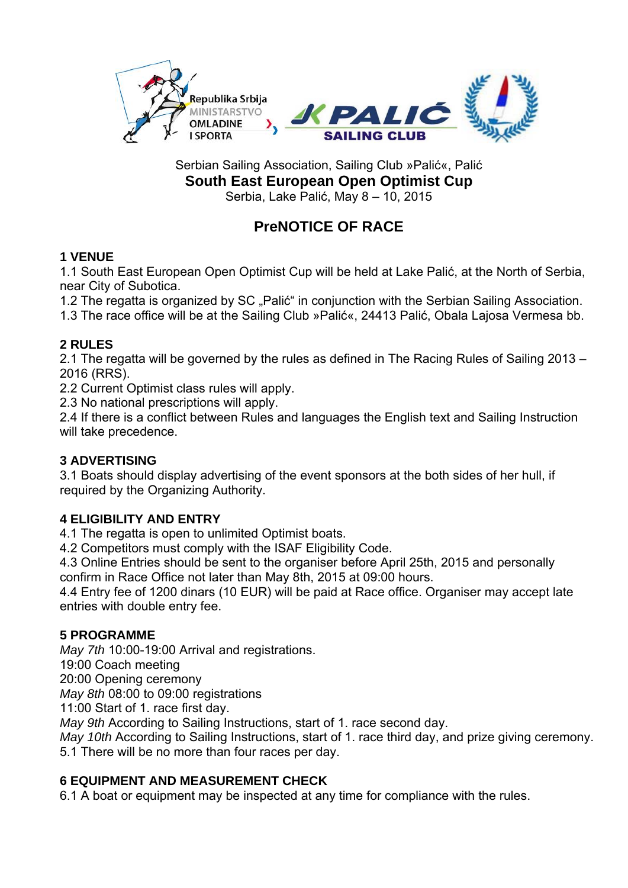

Serbian Sailing Association, Sailing Club »Palić«, Palić **South East European Open Optimist Cup**  Serbia, Lake Palić, May 8 – 10, 2015

# **PreNOTICE OF RACE**

# **1 VENUE**

1.1 South East European Open Optimist Cup will be held at Lake Palić, at the North of Serbia, near City of Subotica.

1.2 The regatta is organized by SC ..Palić in conjunction with the Serbian Sailing Association.

1.3 The race office will be at the Sailing Club »Palić«, 24413 Palić, Obala Lajosa Vermesa bb.

# **2 RULES**

2.1 The regatta will be governed by the rules as defined in The Racing Rules of Sailing 2013 – 2016 (RRS).

2.2 Current Optimist class rules will apply.

2.3 No national prescriptions will apply.

2.4 If there is a conflict between Rules and languages the English text and Sailing Instruction will take precedence.

# **3 ADVERTISING**

3.1 Boats should display advertising of the event sponsors at the both sides of her hull, if required by the Organizing Authority.

# **4 ELIGIBILITY AND ENTRY**

4.1 The regatta is open to unlimited Optimist boats.

4.2 Competitors must comply with the ISAF Eligibility Code.

4.3 Online Entries should be sent to the organiser before April 25th, 2015 and personally confirm in Race Office not later than May 8th, 2015 at 09:00 hours.

4.4 Entry fee of 1200 dinars (10 EUR) will be paid at Race office. Organiser may accept late entries with double entry fee.

#### **5 PROGRAMME**

*May 7th* 10:00-19:00 Arrival and registrations.

19:00 Coach meeting

20:00 Opening ceremony

*May 8th* 08:00 to 09:00 registrations

11:00 Start of 1. race first day.

*May 9th* According to Sailing Instructions, start of 1. race second day.

*May 10th* According to Sailing Instructions, start of 1. race third day, and prize giving ceremony. 5.1 There will be no more than four races per day.

#### **6 EQUIPMENT AND MEASUREMENT CHECK**

6.1 A boat or equipment may be inspected at any time for compliance with the rules.